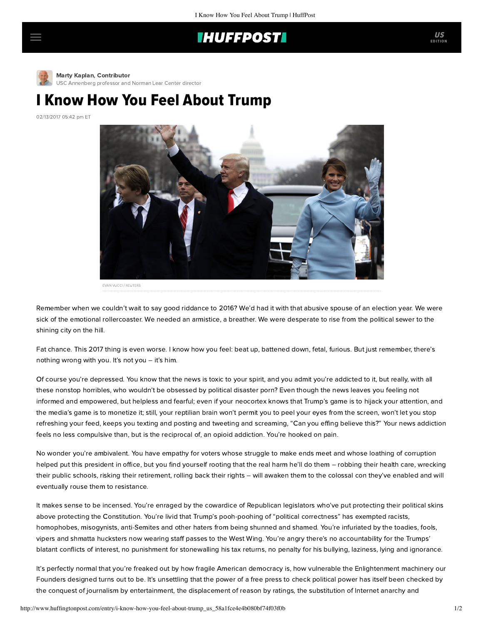## **IHUFFPOSTI**



[M](http://www.huffingtonpost.com/author/marty-kaplan)arty Kaplan, Contributor [USC Annenberg professor and Norman Lear Center director](http://www.huffingtonpost.com/author/marty-kaplan)

## I Know How You Feel About Trump

02/13/2017 05:42 pm ET



Remember when we couldn't wait to say good riddance to 2016? We'd had it with that abusive spouse of an election year. We were sick of the emotional rollercoaster. We needed an armistice, a breather. We were desperate to rise from the political sewer to the shining city on the hill.

Fat chance. This 2017 thing is even worse. I know how you feel: beat up, battened down, fetal, furious. But just remember, there's nothing wrong with you. It's not you – it's him.

Of course you're depressed. You know that the news is toxic to your spirit, and you admit you're addicted to it, but really, with all these nonstop horribles, who wouldn't be obsessed by political disaster porn? Even though the news leaves you feeling not informed and empowered, but helpless and fearful; even if your neocortex knows that Trump's game is to hijack your attention, and the media's game is to monetize it; still, your reptilian brain won't permit you to peel your eyes from the screen, won't let you stop refreshing your feed, keeps you texting and posting and tweeting and screaming, "Can you effing believe this?" Your news addiction feels no less compulsive than, but is the reciprocal of, an opioid addiction. You're hooked on pain.

No wonder you're ambivalent. You have empathy for voters whose struggle to make ends meet and whose loathing of corruption helped put this president in office, but you find yourself rooting that the real harm he'll do them – robbing their health care, wrecking their public schools, risking their retirement, rolling back their rights – will awaken them to the colossal con they've enabled and will eventually rouse them to resistance.

It makes sense to be incensed. You're enraged by the cowardice of Republican legislators who've put protecting their political skins above protecting the Constitution. You're livid that Trump's pooh-poohing of "political correctness" has exempted racists, homophobes, misogynists, anti-Semites and other haters from being shunned and shamed. You're infuriated by the toadies, fools, vipers and shmatta hucksters now wearing staff passes to the West Wing. You're angry there's no accountability for the Trumps' blatant conflicts of interest, no punishment for stonewalling his tax returns, no penalty for his bullying, laziness, lying and ignorance.

It's perfectly normal that you're freaked out by how fragile American democracy is, how vulnerable the Enlightenment machinery our Founders designed turns out to be. It's unsettling that the power of a free press to check political power has itself been checked by the conquest of journalism by entertainment, the displacement of reason by ratings, the substitution of Internet anarchy and